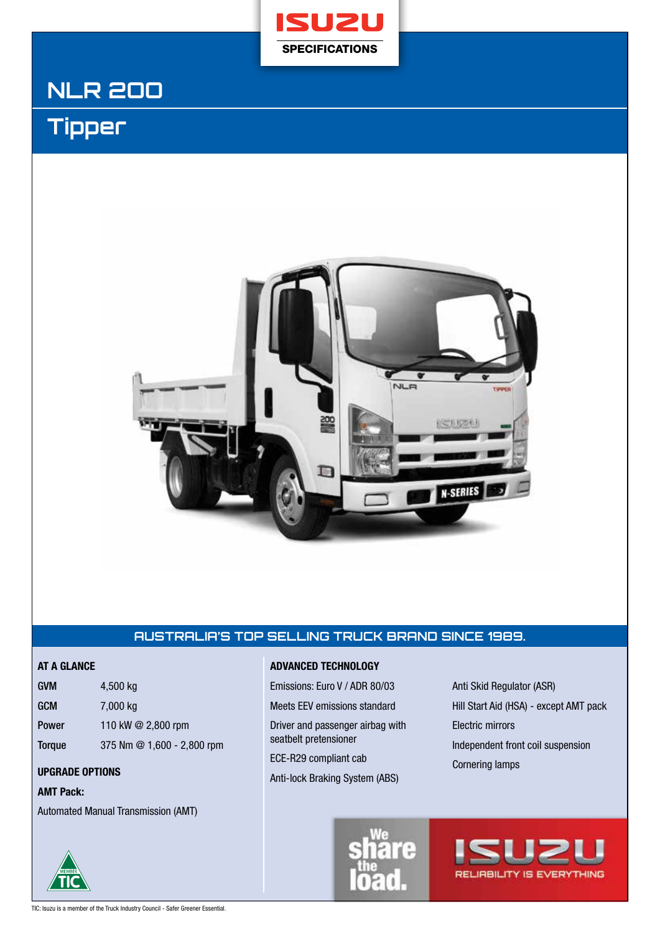

# **NLR 2OO**

# **Tipper**



# **AUSTRALIA'S TOP SELLING TRUCK BRAND SINCE 1989.**

| <b>GVM</b>    | 4,500 kg                   |
|---------------|----------------------------|
| <b>GCM</b>    | 7,000 kg                   |
| <b>Power</b>  | 110 kW $@$ 2,800 rpm       |
| <b>Torque</b> | 375 Nm @ 1,600 - 2,800 rpm |

### **AMT Pack:**

Automated Manual Transmission (AMT)



Emissions: Euro V / ADR 80/03 Meets EEV emissions standard

Driver and passenger airbag with seatbelt pretensioner

ECE-R29 compliant cab **UPGRADE OPTIONS UPGRADE OPTIONS UPGRADE OPTIONS** 

Anti-lock Braking System (ABS)

Anti Skid Regulator (ASR) Hill Start Aid (HSA) - except AMT pack Electric mirrors Independent front coil suspension



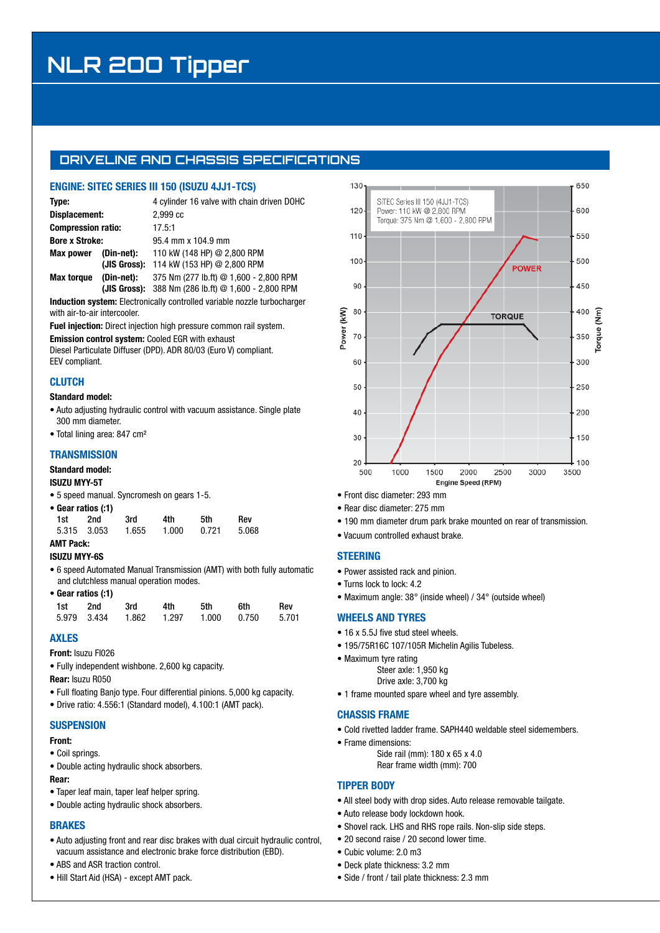# **NLR 2OO Tipper**

## **DRIVELINE AND CHASSIS SPECIFICATIONS**

### **ENGINE: SITEC SERIES III 150 (ISUZU 4JJ1-TCS)**

| Type:                     |            | 4 cylinder 16 valve with chain driven DOHC            |
|---------------------------|------------|-------------------------------------------------------|
| Displacement:             |            | 2.999 <sub>c</sub>                                    |
| <b>Compression ratio:</b> |            | 17.5:1                                                |
| <b>Bore x Stroke:</b>     |            | 95.4 mm x 104.9 mm                                    |
| <b>Max power</b>          | (Din-net): | 110 kW (148 HP) @ 2.800 RPM                           |
|                           |            | (JIS Gross): 114 kW (153 HP) @ 2,800 RPM              |
| <b>Max torque</b>         | (Din-net): | 375 Nm (277 lb.ft) @ 1,600 - 2,800 RPM                |
|                           |            | (JIS Gross): $388$ Nm (286 lb.ft) @ 1,600 - 2,800 RPM |

**Induction system:** Electronically controlled variable nozzle turbocharger with air-to-air intercooler.

**Fuel injection:** Direct injection high pressure common rail system.

**Emission control system:** Cooled EGR with exhaust

Diesel Particulate Diffuser (DPD). ADR 80/03 (Euro V) compliant. EEV compliant.

### **CLUTCH**

#### **Standard model:**

- Auto adjusting hydraulic control with vacuum assistance. Single plate 300 mm diameter.
- Total lining area: 847 cm²

#### **TRANSMISSION**

#### **Standard model:**

#### **ISUZU MYY-5T**

**•** 5 speed manual. Syncromesh on gears 1-5.

|     | • Gear ratios (:1) |       |       |       |       |
|-----|--------------------|-------|-------|-------|-------|
| 1st | 2nd                | 3rd   | 4th   | 5th   | Rev   |
|     | 5.315 3.053        | 1.655 | 1.000 | 0.721 | 5.068 |

# **AMT Pack:**

- **ISUZU MYY-6S**
- 6 speed Automated Manual Transmission (AMT) with both fully automatic and clutchless manual operation modes.
- **Gear ratios (:1)**

| 1st 2nd | 3rd 4th | 5th | 6th                                       | Rev |
|---------|---------|-----|-------------------------------------------|-----|
|         |         |     | 5.979 3.434 1.862 1.297 1.000 0.750 5.701 |     |

#### **AXLES**

**Front:** Isuzu FI026

- Fully independent wishbone. 2,600 kg capacity.
- **Rear:** Isuzu R050
- Full floating Banjo type. Four differential pinions. 5,000 kg capacity.
- Drive ratio: 4.556:1 (Standard model), 4.100:1 (AMT pack).

### **SUSPENSION**

#### **Front:**

- Coil springs.
- Double acting hydraulic shock absorbers.

#### **Rear:**

- Taper leaf main, taper leaf helper spring.
- Double acting hydraulic shock absorbers.

#### **BRAKES**

- Auto adjusting front and rear disc brakes with dual circuit hydraulic control, vacuum assistance and electronic brake force distribution (EBD).
- ABS and ASR traction control.
- Hill Start Aid (HSA) except AMT pack.



- Front disc diameter: 293 mm
- Rear disc diameter: 275 mm
- 190 mm diameter drum park brake mounted on rear of transmission.
- Vacuum controlled exhaust brake.

#### **STEERING**

- Power assisted rack and pinion.
- Turns lock to lock: 4.2
- Maximum angle: 38° (inside wheel) / 34° (outside wheel)

### **WHEELS AND TYRES**

- 16 x 5.5J five stud steel wheels.
- 195/75R16C 107/105R Michelin Agilis Tubeless.
- Maximum tyre rating
	- Steer axle: 1,950 kg Drive axle: 3,700 kg
- 1 frame mounted spare wheel and tyre assembly.

#### **CHASSIS FRAME**

- Cold rivetted ladder frame. SAPH440 weldable steel sidemembers.
- Frame dimensions:
	- Side rail (mm): 180 x 65 x 4.0 Rear frame width (mm): 700

## **TIPPER BODY**

- All steel body with drop sides. Auto release removable tailgate.
- Auto release body lockdown hook.
- Shovel rack. LHS and RHS rope rails. Non-slip side steps.
- 20 second raise / 20 second lower time.
- Cubic volume: 2.0 m3
- Deck plate thickness: 3.2 mm
- Side / front / tail plate thickness: 2.3 mm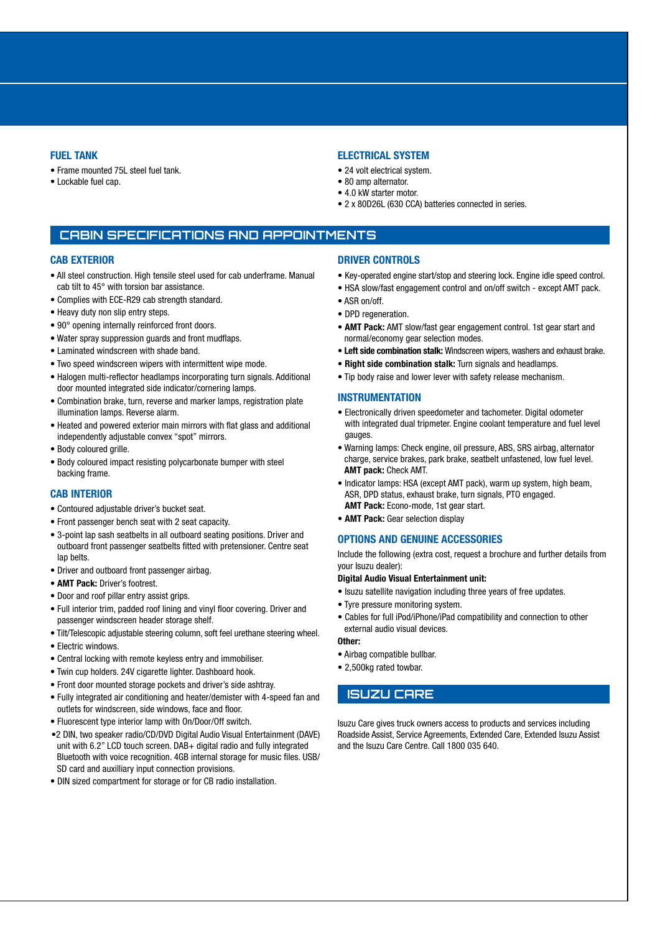#### **FUEL TANK**

- Frame mounted 75L steel fuel tank.
- Lockable fuel cap.

#### **ELECTRICAL SYSTEM**

- 24 volt electrical system.
- 80 amp alternator.
- 4.0 kW starter motor.
- 2 x 80D26L (630 CCA) batteries connected in series.

### **CABIN SPECIFICATIONS AND APPOINTMENTS**

#### **CAB EXTERIOR**

- All steel construction. High tensile steel used for cab underframe. Manual cab tilt to 45° with torsion bar assistance.
- Complies with ECE-R29 cab strength standard.
- Heavy duty non slip entry steps.
- 90° opening internally reinforced front doors.
- Water spray suppression guards and front mudflaps.
- Laminated windscreen with shade band.
- Two speed windscreen wipers with intermittent wipe mode.
- Halogen multi-reflector headlamps incorporating turn signals. Additional door mounted integrated side indicator/cornering lamps.
- Combination brake, turn, reverse and marker lamps, registration plate illumination lamps. Reverse alarm.
- Heated and powered exterior main mirrors with flat glass and additional independently adjustable convex "spot" mirrors.
- Body coloured grille.
- Body coloured impact resisting polycarbonate bumper with steel backing frame.

#### **CAB INTERIOR**

- Contoured adjustable driver's bucket seat.
- Front passenger bench seat with 2 seat capacity.
- 3-point lap sash seatbelts in all outboard seating positions. Driver and outboard front passenger seatbelts fitted with pretensioner. Centre seat lap belts.
- Driver and outboard front passenger airbag.
- **AMT Pack:** Driver's footrest.
- Door and roof pillar entry assist grips.
- Full interior trim, padded roof lining and vinyl floor covering. Driver and passenger windscreen header storage shelf.
- Tilt/Telescopic adjustable steering column, soft feel urethane steering wheel.
- Electric windows.
- Central locking with remote keyless entry and immobiliser.
- Twin cup holders. 24V cigarette lighter. Dashboard hook.
- Front door mounted storage pockets and driver's side ashtray.
- Fully integrated air conditioning and heater/demister with 4-speed fan and outlets for windscreen, side windows, face and floor.
- Fluorescent type interior lamp with On/Door/Off switch.
- •2 DIN, two speaker radio/CD/DVD Digital Audio Visual Entertainment (DAVE) unit with 6.2" LCD touch screen. DAB+ digital radio and fully integrated Bluetooth with voice recognition. 4GB internal storage for music files. USB/ SD card and auxilliary input connection provisions.
- DIN sized compartment for storage or for CB radio installation.

#### **DRIVER CONTROLS**

- Key-operated engine start/stop and steering lock. Engine idle speed control.
- HSA slow/fast engagement control and on/off switch except AMT pack.
- ASR on/off.
- DPD regeneration.
- **AMT Pack:** AMT slow/fast gear engagement control. 1st gear start and normal/economy gear selection modes.
- **Left side combination stalk:** Windscreen wipers, washers and exhaust brake.
- • **Right side combination stalk:** Turn signals and headlamps.
- Tip body raise and lower lever with safety release mechanism.

#### **INSTRUMENTATION**

- Electronically driven speedometer and tachometer. Digital odometer with integrated dual tripmeter. Engine coolant temperature and fuel level gauges.
- Warning lamps: Check engine, oil pressure, ABS, SRS airbag, alternator charge, service brakes, park brake, seatbelt unfastened, low fuel level. **AMT pack:** Check AMT.
- Indicator lamps: HSA (except AMT pack), warm up system, high beam, ASR, DPD status, exhaust brake, turn signals, PTO engaged. **AMT Pack:** Econo-mode, 1st gear start.
- **AMT Pack:** Gear selection display

#### **OPTIONS AND GENUINE ACCESSORIES**

Include the following (extra cost, request a brochure and further details from your Isuzu dealer):

#### **Digital Audio Visual Entertainment unit:**

- Isuzu satellite navigation including three years of free updates.
- Tyre pressure monitoring system.
- Cables for full iPod/iPhone/iPad compatibility and connection to other external audio visual devices.

**Other:**

- Airbag compatible bullbar.
- 2,500kg rated towbar.

#### **ISUZU CARE**

Isuzu Care gives truck owners access to products and services including Roadside Assist, Service Agreements, Extended Care, Extended Isuzu Assist and the Isuzu Care Centre. Call 1800 035 640.